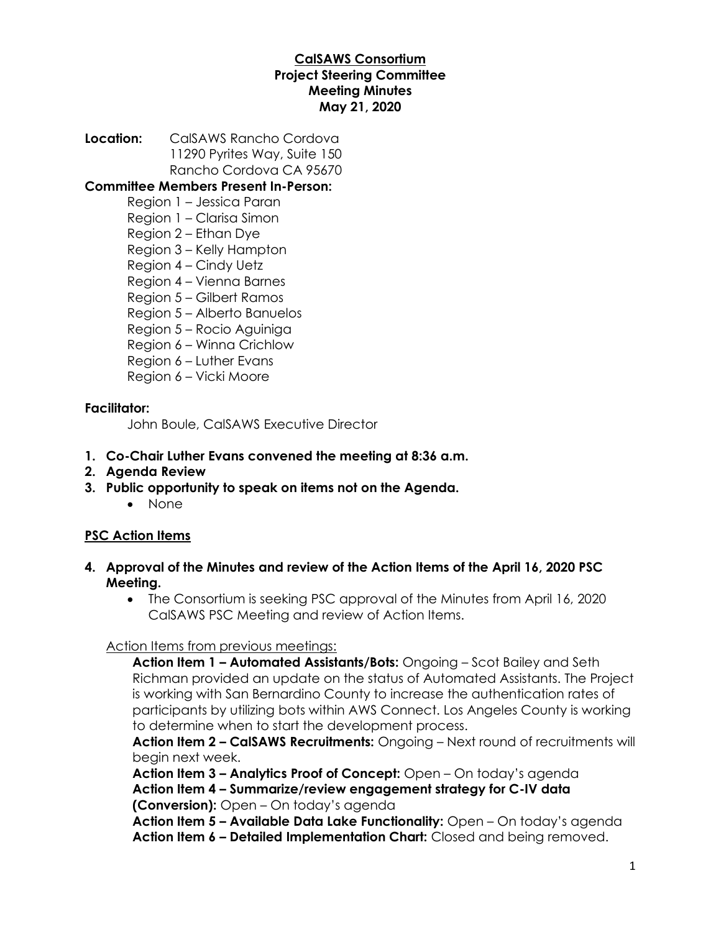#### **CalSAWS Consortium Project Steering Committee Meeting Minutes May 21, 2020**

**Location:** CalSAWS Rancho Cordova 11290 Pyrites Way, Suite 150 Rancho Cordova CA 95670

#### **Committee Members Present In-Person:**

- Region 1 Jessica Paran
- Region 1 Clarisa Simon
- Region 2 Ethan Dye
- Region 3 Kelly Hampton
- Region 4 Cindy Uetz
- Region 4 Vienna Barnes
- Region 5 Gilbert Ramos
- Region 5 Alberto Banuelos
- Region 5 Rocio Aguiniga
- Region 6 Winna Crichlow
- Region 6 Luther Evans
- Region 6 Vicki Moore

#### **Facilitator:**

John Boule, CalSAWS Executive Director

- **1. Co-Chair Luther Evans convened the meeting at 8:36 a.m.**
- **2. Agenda Review**
- **3. Public opportunity to speak on items not on the Agenda.**
	- None

#### **PSC Action Items**

- **4. Approval of the Minutes and review of the Action Items of the April 16, 2020 PSC Meeting.**
	- The Consortium is seeking PSC approval of the Minutes from April 16, 2020 CalSAWS PSC Meeting and review of Action Items.

#### Action Items from previous meetings:

**Action Item 1 – Automated Assistants/Bots:** Ongoing – Scot Bailey and Seth Richman provided an update on the status of Automated Assistants. The Project is working with San Bernardino County to increase the authentication rates of participants by utilizing bots within AWS Connect. Los Angeles County is working to determine when to start the development process.

**Action Item 2 – CalSAWS Recruitments:** Ongoing – Next round of recruitments will begin next week.

**Action Item 3 – Analytics Proof of Concept:** Open – On today's agenda **Action Item 4 – Summarize/review engagement strategy for C-IV data (Conversion):** Open – On today's agenda

**Action Item 5 – Available Data Lake Functionality:** Open – On today's agenda **Action Item 6 – Detailed Implementation Chart:** Closed and being removed.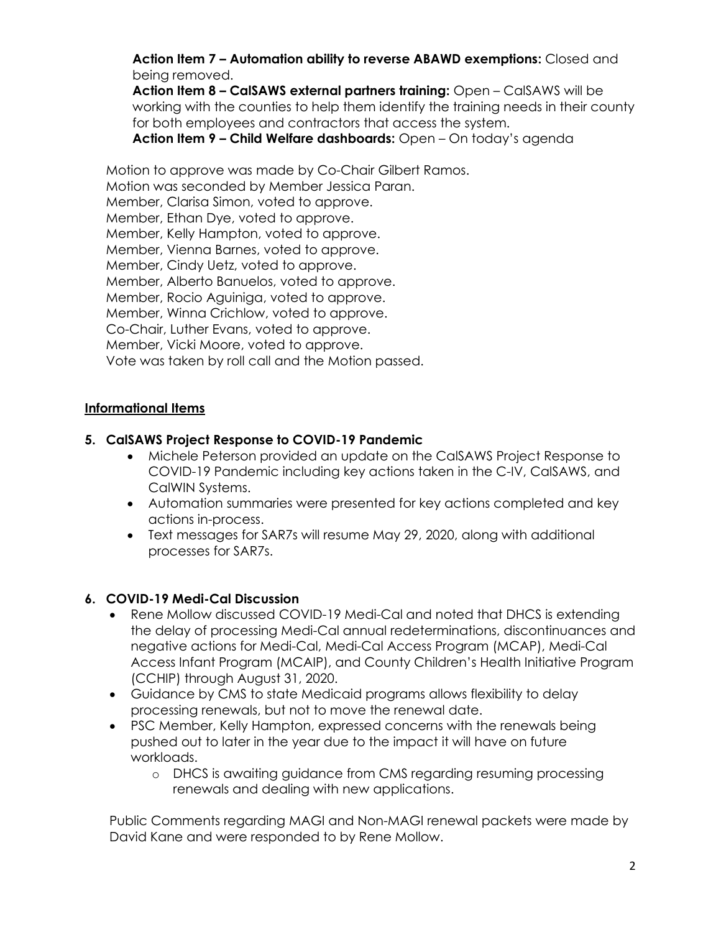**Action Item 7 – Automation ability to reverse ABAWD exemptions:** Closed and being removed.

**Action Item 8 – CalSAWS external partners training:** Open – CalSAWS will be working with the counties to help them identify the training needs in their county for both employees and contractors that access the system.

**Action Item 9 – Child Welfare dashboards:** Open – On today's agenda

Motion to approve was made by Co-Chair Gilbert Ramos. Motion was seconded by Member Jessica Paran. Member, Clarisa Simon, voted to approve. Member, Ethan Dye, voted to approve. Member, Kelly Hampton, voted to approve. Member, Vienna Barnes, voted to approve. Member, Cindy Uetz, voted to approve. Member, Alberto Banuelos, voted to approve. Member, Rocio Aguiniga, voted to approve. Member, Winna Crichlow, voted to approve. Co-Chair, Luther Evans, voted to approve. Member, Vicki Moore, voted to approve. Vote was taken by roll call and the Motion passed.

#### **Informational Items**

#### **5. CalSAWS Project Response to COVID-19 Pandemic**

- Michele Peterson provided an update on the CalSAWS Project Response to COVID-19 Pandemic including key actions taken in the C-IV, CalSAWS, and CalWIN Systems.
- Automation summaries were presented for key actions completed and key actions in-process.
- Text messages for SAR7s will resume May 29, 2020, along with additional processes for SAR7s.

### **6. COVID-19 Medi-Cal Discussion**

- Rene Mollow discussed COVID-19 Medi-Cal and noted that DHCS is extending the delay of processing Medi-Cal annual redeterminations, discontinuances and negative actions for Medi-Cal, Medi-Cal Access Program (MCAP), Medi-Cal Access Infant Program (MCAIP), and County Children's Health Initiative Program (CCHIP) through August 31, 2020.
- Guidance by CMS to state Medicaid programs allows flexibility to delay processing renewals, but not to move the renewal date.
- PSC Member, Kelly Hampton, expressed concerns with the renewals being pushed out to later in the year due to the impact it will have on future workloads.
	- o DHCS is awaiting guidance from CMS regarding resuming processing renewals and dealing with new applications.

Public Comments regarding MAGI and Non-MAGI renewal packets were made by David Kane and were responded to by Rene Mollow.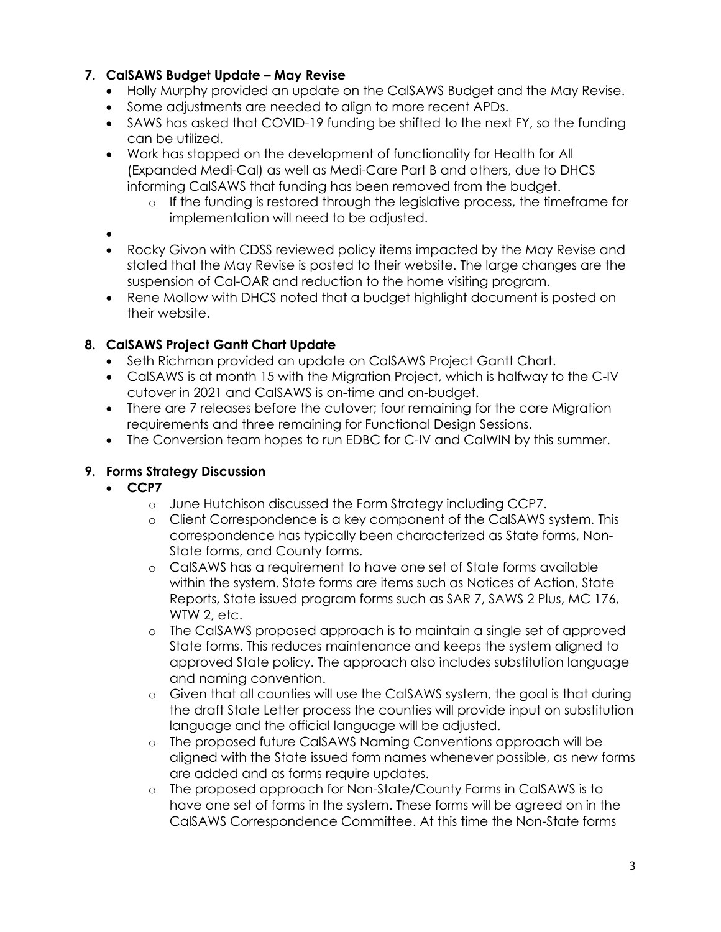### **7. CalSAWS Budget Update – May Revise**

- Holly Murphy provided an update on the CalSAWS Budget and the May Revise.
- Some adjustments are needed to align to more recent APDs.
- SAWS has asked that COVID-19 funding be shifted to the next FY, so the funding can be utilized.
- Work has stopped on the development of functionality for Health for All (Expanded Medi-Cal) as well as Medi-Care Part B and others, due to DHCS informing CalSAWS that funding has been removed from the budget.
	- o If the funding is restored through the legislative process, the timeframe for implementation will need to be adjusted.
- •
- Rocky Givon with CDSS reviewed policy items impacted by the May Revise and stated that the May Revise is posted to their website. The large changes are the suspension of Cal-OAR and reduction to the home visiting program.
- Rene Mollow with DHCS noted that a budget highlight document is posted on their website.

## **8. CalSAWS Project Gantt Chart Update**

- Seth Richman provided an update on CalSAWS Project Gantt Chart.
- CalSAWS is at month 15 with the Migration Project, which is halfway to the C-IV cutover in 2021 and CalSAWS is on-time and on-budget.
- There are 7 releases before the cutover; four remaining for the core Migration requirements and three remaining for Functional Design Sessions.
- The Conversion team hopes to run EDBC for C-IV and CalWIN by this summer.

# **9. Forms Strategy Discussion**

- **CCP7**
	- o June Hutchison discussed the Form Strategy including CCP7.
	- o Client Correspondence is a key component of the CalSAWS system. This correspondence has typically been characterized as State forms, Non-State forms, and County forms.
	- o CalSAWS has a requirement to have one set of State forms available within the system. State forms are items such as Notices of Action, State Reports, State issued program forms such as SAR 7, SAWS 2 Plus, MC 176, WTW 2, etc.
	- o The CalSAWS proposed approach is to maintain a single set of approved State forms. This reduces maintenance and keeps the system aligned to approved State policy. The approach also includes substitution language and naming convention.
	- o Given that all counties will use the CalSAWS system, the goal is that during the draft State Letter process the counties will provide input on substitution language and the official language will be adjusted.
	- o The proposed future CalSAWS Naming Conventions approach will be aligned with the State issued form names whenever possible, as new forms are added and as forms require updates.
	- o The proposed approach for Non-State/County Forms in CalSAWS is to have one set of forms in the system. These forms will be agreed on in the CalSAWS Correspondence Committee. At this time the Non-State forms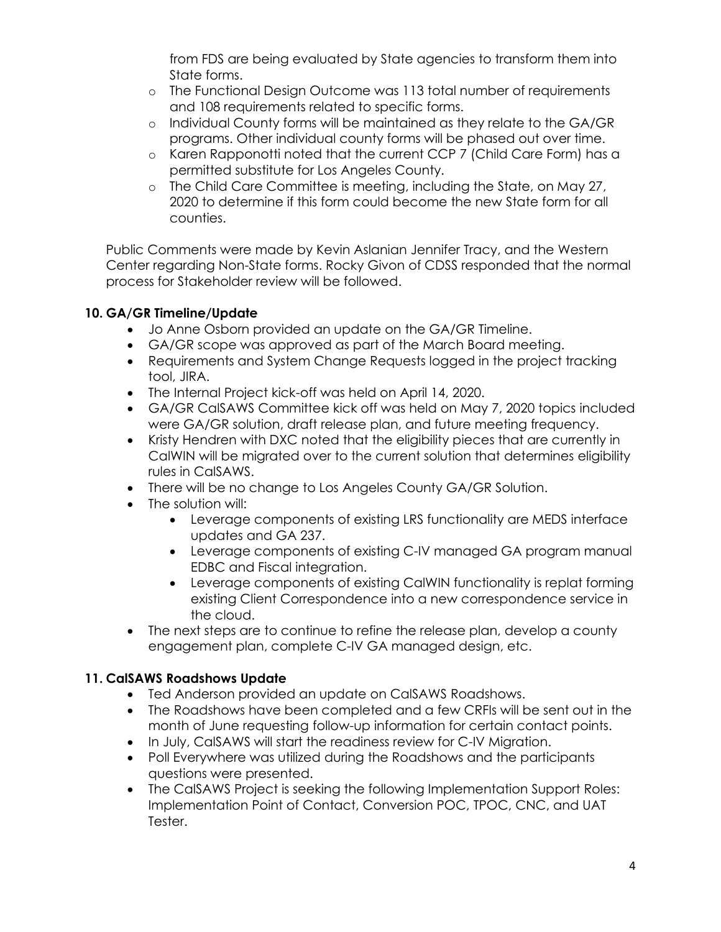from FDS are being evaluated by State agencies to transform them into State forms.

- o The Functional Design Outcome was 113 total number of requirements and 108 requirements related to specific forms.
- o Individual County forms will be maintained as they relate to the GA/GR programs. Other individual county forms will be phased out over time.
- o Karen Rapponotti noted that the current CCP 7 (Child Care Form) has a permitted substitute for Los Angeles County.
- o The Child Care Committee is meeting, including the State, on May 27, 2020 to determine if this form could become the new State form for all counties.

Public Comments were made by Kevin Aslanian Jennifer Tracy, and the Western Center regarding Non-State forms. Rocky Givon of CDSS responded that the normal process for Stakeholder review will be followed.

## **10. GA/GR Timeline/Update**

- Jo Anne Osborn provided an update on the GA/GR Timeline.
- GA/GR scope was approved as part of the March Board meeting.
- Requirements and System Change Requests logged in the project tracking tool, JIRA.
- The Internal Project kick-off was held on April 14, 2020.
- GA/GR CalSAWS Committee kick off was held on May 7, 2020 topics included were GA/GR solution, draft release plan, and future meeting frequency.
- Kristy Hendren with DXC noted that the eligibility pieces that are currently in CalWIN will be migrated over to the current solution that determines eligibility rules in CalSAWS.
- There will be no change to Los Angeles County GA/GR Solution.
- The solution will:
	- Leverage components of existing LRS functionality are MEDS interface updates and GA 237.
	- Leverage components of existing C-IV managed GA program manual EDBC and Fiscal integration.
	- Leverage components of existing CalWIN functionality is replat forming existing Client Correspondence into a new correspondence service in the cloud.
- The next steps are to continue to refine the release plan, develop a county engagement plan, complete C-IV GA managed design, etc.

# **11. CalSAWS Roadshows Update**

- Ted Anderson provided an update on CalSAWS Roadshows.
- The Roadshows have been completed and a few CRFIs will be sent out in the month of June requesting follow-up information for certain contact points.
- In July, CalSAWS will start the readiness review for C-IV Migration.
- Poll Everywhere was utilized during the Roadshows and the participants questions were presented.
- The CalSAWS Project is seeking the following Implementation Support Roles: Implementation Point of Contact, Conversion POC, TPOC, CNC, and UAT Tester.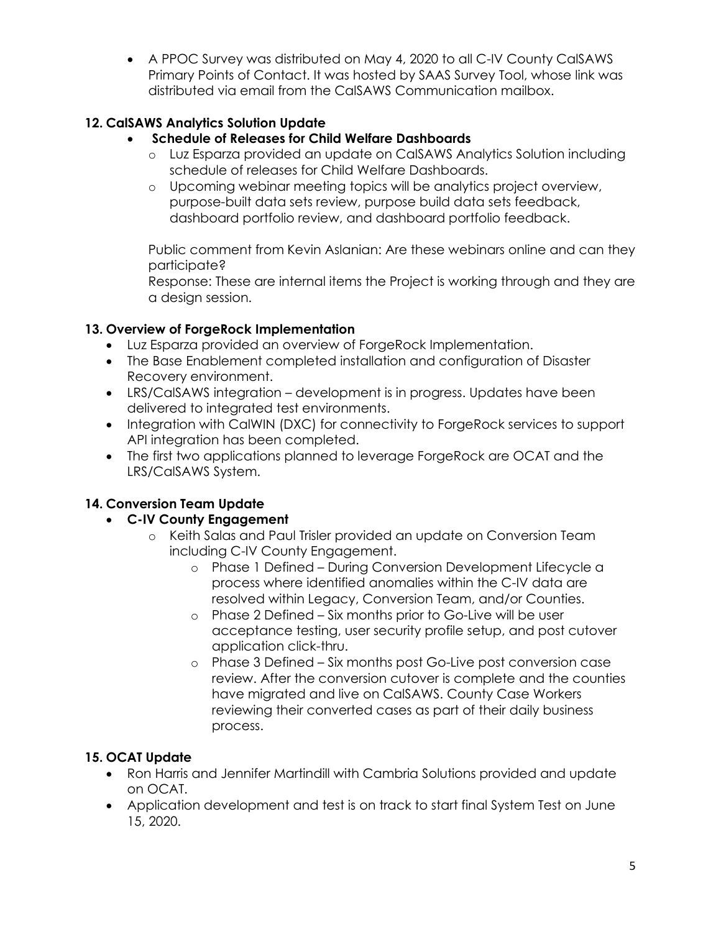• A PPOC Survey was distributed on May 4, 2020 to all C-IV County CalSAWS Primary Points of Contact. It was hosted by SAAS Survey Tool, whose link was distributed via email from the CalSAWS Communication mailbox.

## **12. CalSAWS Analytics Solution Update**

- **Schedule of Releases for Child Welfare Dashboards**
	- o Luz Esparza provided an update on CalSAWS Analytics Solution including schedule of releases for Child Welfare Dashboards.
	- o Upcoming webinar meeting topics will be analytics project overview, purpose-built data sets review, purpose build data sets feedback, dashboard portfolio review, and dashboard portfolio feedback.

Public comment from Kevin Aslanian: Are these webinars online and can they participate?

Response: These are internal items the Project is working through and they are a design session.

### **13. Overview of ForgeRock Implementation**

- Luz Esparza provided an overview of ForgeRock Implementation.
- The Base Enablement completed installation and configuration of Disaster Recovery environment.
- LRS/CalSAWS integration development is in progress. Updates have been delivered to integrated test environments.
- Integration with CalWIN (DXC) for connectivity to ForgeRock services to support API integration has been completed.
- The first two applications planned to leverage ForgeRock are OCAT and the LRS/CalSAWS System.

### **14. Conversion Team Update**

### • **C-IV County Engagement**

- o Keith Salas and Paul Trisler provided an update on Conversion Team including C-IV County Engagement.
	- o Phase 1 Defined During Conversion Development Lifecycle a process where identified anomalies within the C-IV data are resolved within Legacy, Conversion Team, and/or Counties.
	- o Phase 2 Defined Six months prior to Go-Live will be user acceptance testing, user security profile setup, and post cutover application click-thru.
	- o Phase 3 Defined Six months post Go-Live post conversion case review. After the conversion cutover is complete and the counties have migrated and live on CalSAWS. County Case Workers reviewing their converted cases as part of their daily business process.

### **15. OCAT Update**

- Ron Harris and Jennifer Martindill with Cambria Solutions provided and update on OCAT.
- Application development and test is on track to start final System Test on June 15, 2020.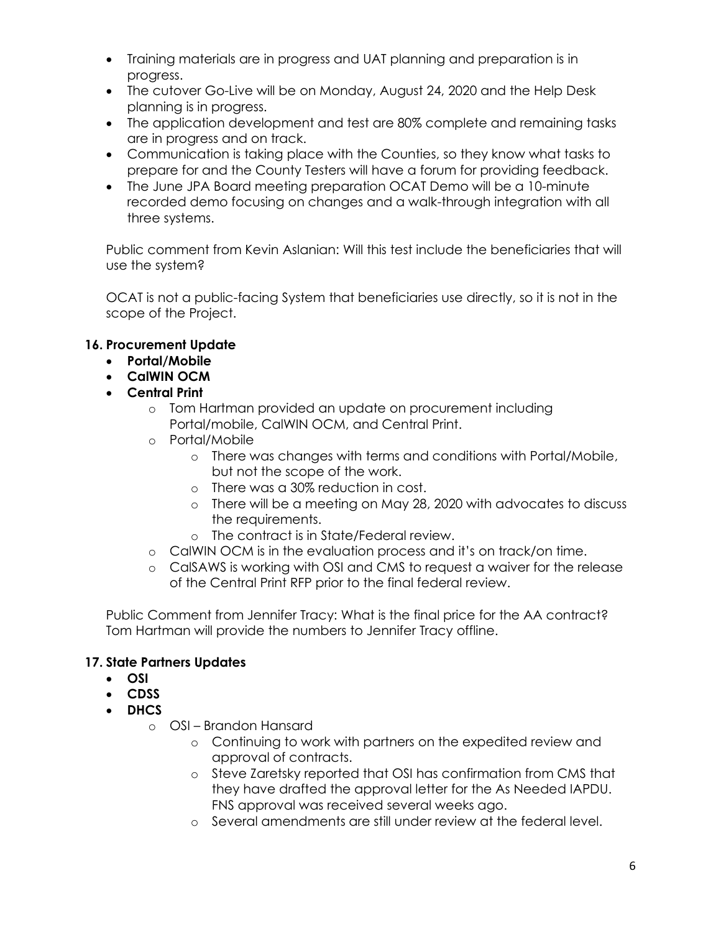- Training materials are in progress and UAT planning and preparation is in progress.
- The cutover Go-Live will be on Monday, August 24, 2020 and the Help Desk planning is in progress.
- The application development and test are 80% complete and remaining tasks are in progress and on track.
- Communication is taking place with the Counties, so they know what tasks to prepare for and the County Testers will have a forum for providing feedback.
- The June JPA Board meeting preparation OCAT Demo will be a 10-minute recorded demo focusing on changes and a walk-through integration with all three systems.

Public comment from Kevin Aslanian: Will this test include the beneficiaries that will use the system?

OCAT is not a public-facing System that beneficiaries use directly, so it is not in the scope of the Project.

## **16. Procurement Update**

- **Portal/Mobile**
- **CalWIN OCM**
- **Central Print**
	- o Tom Hartman provided an update on procurement including Portal/mobile, CalWIN OCM, and Central Print.
	- o Portal/Mobile
		- o There was changes with terms and conditions with Portal/Mobile, but not the scope of the work.
		- o There was a 30% reduction in cost.
		- o There will be a meeting on May 28, 2020 with advocates to discuss the requirements.
		- o The contract is in State/Federal review.
	- o CalWIN OCM is in the evaluation process and it's on track/on time.
	- o CalSAWS is working with OSI and CMS to request a waiver for the release of the Central Print RFP prior to the final federal review.

Public Comment from Jennifer Tracy: What is the final price for the AA contract? Tom Hartman will provide the numbers to Jennifer Tracy offline.

### **17. State Partners Updates**

- **OSI**
- **CDSS**
- **DHCS**
	- o OSI Brandon Hansard
		- o Continuing to work with partners on the expedited review and approval of contracts.
		- o Steve Zaretsky reported that OSI has confirmation from CMS that they have drafted the approval letter for the As Needed IAPDU. FNS approval was received several weeks ago.
		- o Several amendments are still under review at the federal level.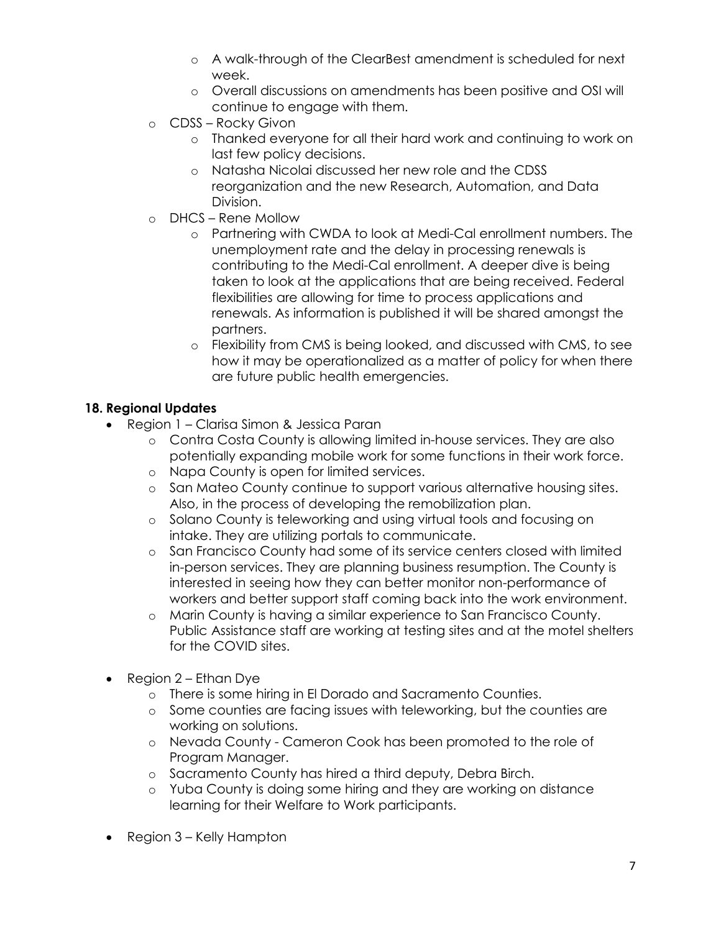- o A walk-through of the ClearBest amendment is scheduled for next week.
- o Overall discussions on amendments has been positive and OSI will continue to engage with them.
- o CDSS Rocky Givon
	- o Thanked everyone for all their hard work and continuing to work on last few policy decisions.
	- o Natasha Nicolai discussed her new role and the CDSS reorganization and the new Research, Automation, and Data Division.
- o DHCS Rene Mollow
	- o Partnering with CWDA to look at Medi-Cal enrollment numbers. The unemployment rate and the delay in processing renewals is contributing to the Medi-Cal enrollment. A deeper dive is being taken to look at the applications that are being received. Federal flexibilities are allowing for time to process applications and renewals. As information is published it will be shared amongst the partners.
	- o Flexibility from CMS is being looked, and discussed with CMS, to see how it may be operationalized as a matter of policy for when there are future public health emergencies.

#### **18. Regional Updates**

- Region 1 Clarisa Simon & Jessica Paran
	- o Contra Costa County is allowing limited in-house services. They are also potentially expanding mobile work for some functions in their work force.
	- o Napa County is open for limited services.
	- o San Mateo County continue to support various alternative housing sites. Also, in the process of developing the remobilization plan.
	- o Solano County is teleworking and using virtual tools and focusing on intake. They are utilizing portals to communicate.
	- o San Francisco County had some of its service centers closed with limited in-person services. They are planning business resumption. The County is interested in seeing how they can better monitor non-performance of workers and better support staff coming back into the work environment.
	- o Marin County is having a similar experience to San Francisco County. Public Assistance staff are working at testing sites and at the motel shelters for the COVID sites.
- Region 2 Ethan Dye
	- o There is some hiring in El Dorado and Sacramento Counties.
	- o Some counties are facing issues with teleworking, but the counties are working on solutions.
	- o Nevada County Cameron Cook has been promoted to the role of Program Manager.
	- o Sacramento County has hired a third deputy, Debra Birch.
	- o Yuba County is doing some hiring and they are working on distance learning for their Welfare to Work participants.
- Region 3 Kelly Hampton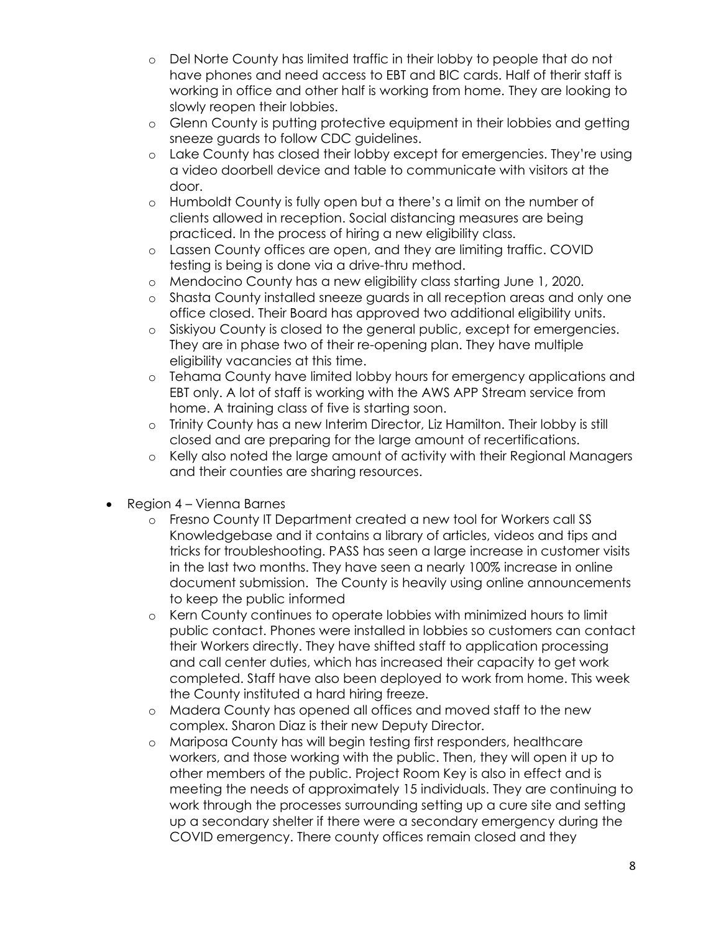- o Del Norte County has limited traffic in their lobby to people that do not have phones and need access to EBT and BIC cards. Half of therir staff is working in office and other half is working from home. They are looking to slowly reopen their lobbies.
- o Glenn County is putting protective equipment in their lobbies and getting sneeze guards to follow CDC guidelines.
- o Lake County has closed their lobby except for emergencies. They're using a video doorbell device and table to communicate with visitors at the door.
- o Humboldt County is fully open but a there's a limit on the number of clients allowed in reception. Social distancing measures are being practiced. In the process of hiring a new eligibility class.
- o Lassen County offices are open, and they are limiting traffic. COVID testing is being is done via a drive-thru method.
- o Mendocino County has a new eligibility class starting June 1, 2020.
- o Shasta County installed sneeze guards in all reception areas and only one office closed. Their Board has approved two additional eligibility units.
- o Siskiyou County is closed to the general public, except for emergencies. They are in phase two of their re-opening plan. They have multiple eligibility vacancies at this time.
- o Tehama County have limited lobby hours for emergency applications and EBT only. A lot of staff is working with the AWS APP Stream service from home. A training class of five is starting soon.
- o Trinity County has a new Interim Director, Liz Hamilton. Their lobby is still closed and are preparing for the large amount of recertifications.
- o Kelly also noted the large amount of activity with their Regional Managers and their counties are sharing resources.
- Region 4 Vienna Barnes
	- o Fresno County IT Department created a new tool for Workers call SS Knowledgebase and it contains a library of articles, videos and tips and tricks for troubleshooting. PASS has seen a large increase in customer visits in the last two months. They have seen a nearly 100% increase in online document submission. The County is heavily using online announcements to keep the public informed
	- o Kern County continues to operate lobbies with minimized hours to limit public contact. Phones were installed in lobbies so customers can contact their Workers directly. They have shifted staff to application processing and call center duties, which has increased their capacity to get work completed. Staff have also been deployed to work from home. This week the County instituted a hard hiring freeze.
	- o Madera County has opened all offices and moved staff to the new complex. Sharon Diaz is their new Deputy Director.
	- o Mariposa County has will begin testing first responders, healthcare workers, and those working with the public. Then, they will open it up to other members of the public. Project Room Key is also in effect and is meeting the needs of approximately 15 individuals. They are continuing to work through the processes surrounding setting up a cure site and setting up a secondary shelter if there were a secondary emergency during the COVID emergency. There county offices remain closed and they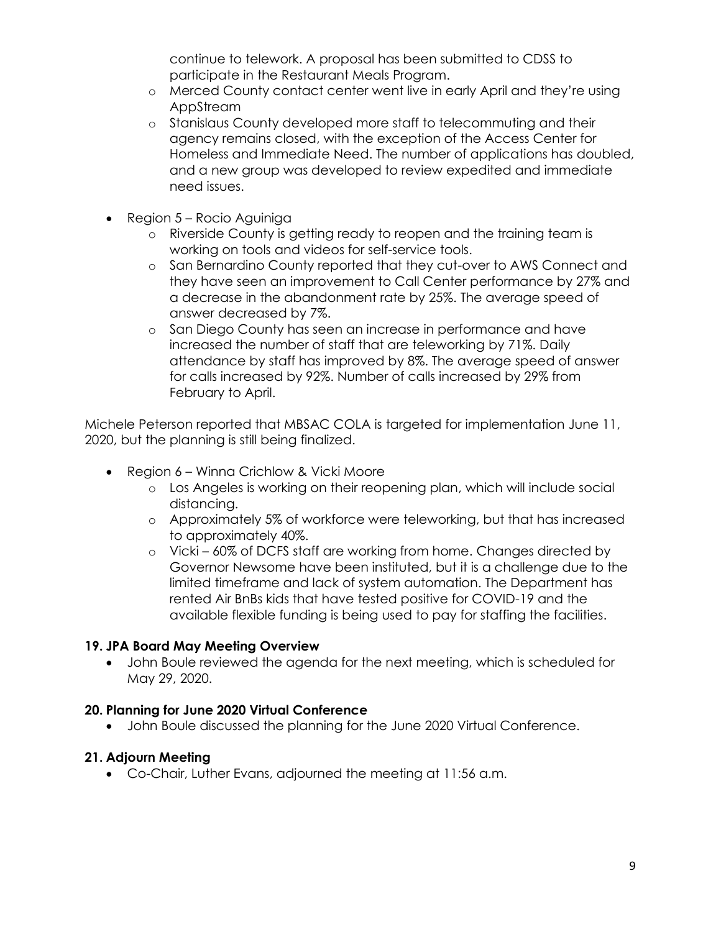continue to telework. A proposal has been submitted to CDSS to participate in the Restaurant Meals Program.

- o Merced County contact center went live in early April and they're using AppStream
- o Stanislaus County developed more staff to telecommuting and their agency remains closed, with the exception of the Access Center for Homeless and Immediate Need. The number of applications has doubled, and a new group was developed to review expedited and immediate need issues.
- Region 5 Rocio Aguiniga
	- o Riverside County is getting ready to reopen and the training team is working on tools and videos for self-service tools.
	- o San Bernardino County reported that they cut-over to AWS Connect and they have seen an improvement to Call Center performance by 27% and a decrease in the abandonment rate by 25%. The average speed of answer decreased by 7%.
	- o San Diego County has seen an increase in performance and have increased the number of staff that are teleworking by 71%. Daily attendance by staff has improved by 8%. The average speed of answer for calls increased by 92%. Number of calls increased by 29% from February to April.

Michele Peterson reported that MBSAC COLA is targeted for implementation June 11, 2020, but the planning is still being finalized.

- Region 6 Winna Crichlow & Vicki Moore
	- o Los Angeles is working on their reopening plan, which will include social distancing.
	- o Approximately 5% of workforce were teleworking, but that has increased to approximately 40%.
	- o Vicki 60% of DCFS staff are working from home. Changes directed by Governor Newsome have been instituted, but it is a challenge due to the limited timeframe and lack of system automation. The Department has rented Air BnBs kids that have tested positive for COVID-19 and the available flexible funding is being used to pay for staffing the facilities.

#### **19. JPA Board May Meeting Overview**

• John Boule reviewed the agenda for the next meeting, which is scheduled for May 29, 2020.

#### **20. Planning for June 2020 Virtual Conference**

• John Boule discussed the planning for the June 2020 Virtual Conference.

#### **21. Adjourn Meeting**

• Co-Chair, Luther Evans, adjourned the meeting at 11:56 a.m.